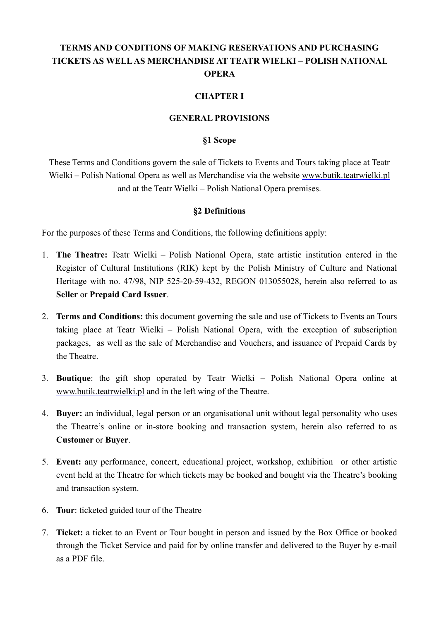# **TERMS AND CONDITIONS OF MAKING RESERVATIONS AND PURCHASING TICKETS AS WELL AS MERCHANDISE AT TEATR WIELKI – POLISH NATIONAL OPERA**

#### **CHAPTER I**

#### **GENERAL PROVISIONS**

#### **§1 Scope**

These Terms and Conditions govern the sale of Tickets to Events and Tours taking place at Teatr Wielki – Polish National Opera as well as Merchandise via the website [www.butik.teatrwielki.pl](http://www.butik.teatrwielki.pl/) and at the Teatr Wielki – Polish National Opera premises.

#### **§2 Definitions**

For the purposes of these Terms and Conditions, the following definitions apply:

- 1. **The Theatre:** Teatr Wielki Polish National Opera, state artistic institution entered in the Register of Cultural Institutions (RIK) kept by the Polish Ministry of Culture and National Heritage with no. 47/98, NIP 525-20-59-432, REGON 013055028, herein also referred to as **Seller** or **Prepaid Card Issuer**.
- 2. **Terms and Conditions:** this document governing the sale and use of Tickets to Events an Tours taking place at Teatr Wielki – Polish National Opera, with the exception of subscription packages, as well as the sale of Merchandise and Vouchers, and issuance of Prepaid Cards by the Theatre.
- 3. **Boutique**: the gift shop operated by Teatr Wielki Polish National Opera online at [www.butik.teatrwielki.pl](http://www.butik.teatrwielki.pl/) and in the left wing of the Theatre.
- 4. **Buyer:** an individual, legal person or an organisational unit without legal personality who uses the Theatre's online or in-store booking and transaction system, herein also referred to as **Customer** or **Buyer**.
- 5. **Event:** any performance, concert, educational project, workshop, exhibition or other artistic event held at the Theatre for which tickets may be booked and bought via the Theatre's booking and transaction system.
- 6. **Tour**: ticketed guided tour of the Theatre
- 7. **Ticket:** a ticket to an Event or Tour bought in person and issued by the Box Office or booked through the Ticket Service and paid for by online transfer and delivered to the Buyer by e-mail as a PDF file.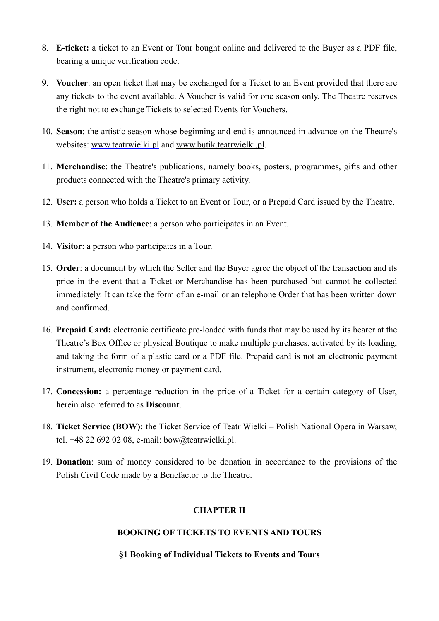- 8. **E-ticket:** a ticket to an Event or Tour bought online and delivered to the Buyer as a PDF file, bearing a unique verification code.
- 9. **Voucher**: an open ticket that may be exchanged for a Ticket to an Event provided that there are any tickets to the event available. A Voucher is valid for one season only. The Theatre reserves the right not to exchange Tickets to selected Events for Vouchers.
- 10. **Season**: the artistic season whose beginning and end is announced in advance on the Theatre's websites: [www.teatrwielki.pl](http://www.teatrwielki.pl) and [www.butik.teatrwielki.pl.](http://www.butik.teatrwielki.pl)
- 11. **Merchandise**: the Theatre's publications, namely books, posters, programmes, gifts and other products connected with the Theatre's primary activity.
- 12. **User:** a person who holds a Ticket to an Event or Tour, or a Prepaid Card issued by the Theatre.
- 13. **Member of the Audience**: a person who participates in an Event.
- 14. **Visitor**: a person who participates in a Tour.
- 15. **Order**: a document by which the Seller and the Buyer agree the object of the transaction and its price in the event that a Ticket or Merchandise has been purchased but cannot be collected immediately. It can take the form of an e-mail or an telephone Order that has been written down and confirmed.
- 16. **Prepaid Card:** electronic certificate pre-loaded with funds that may be used by its bearer at the Theatre's Box Office or physical Boutique to make multiple purchases, activated by its loading, and taking the form of a plastic card or a PDF file. Prepaid card is not an electronic payment instrument, electronic money or payment card.
- 17. **Concession:** a percentage reduction in the price of a Ticket for a certain category of User, herein also referred to as **Discount**.
- 18. **Ticket Service (BOW):** the Ticket Service of Teatr Wielki Polish National Opera in Warsaw, tel. +48 22 692 02 08, e-mail: [bow@teatrwielki.pl](mailto:bow@teatrwielki.pl).
- 19. **Donation**: sum of money considered to be donation in accordance to the provisions of the Polish Civil Code made by a Benefactor to the Theatre.

### **CHAPTER II**

### **BOOKING OF TICKETS TO EVENTS AND TOURS**

#### **§1 Booking of Individual Tickets to Events and Tours**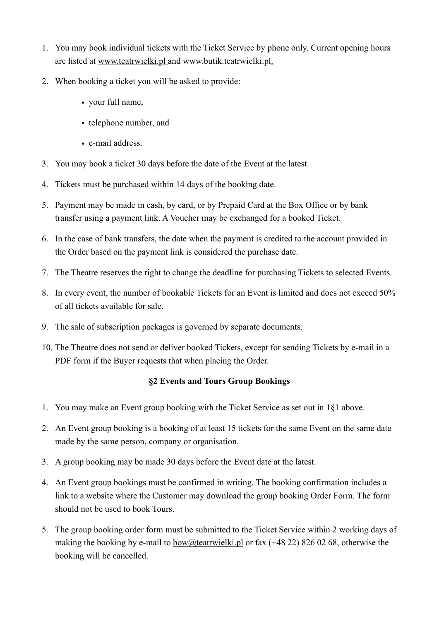- 1. You may book individual tickets with the Ticket Service by phone only. Current opening hours are listed at [www.teatrwielki.pl](http://www.teatrwielki.pl) and www.butik.teatrwielki.pl.
- 2. When booking a ticket you will be asked to provide:
	- your full name,
	- telephone number, and
	- e-mail address.
- 3. You may book a ticket 30 days before the date of the Event at the latest.
- 4. Tickets must be purchased within 14 days of the booking date.
- 5. Payment may be made in cash, by card, or by Prepaid Card at the Box Office or by bank transfer using a payment link. A Voucher may be exchanged for a booked Ticket.
- 6. In the case of bank transfers, the date when the payment is credited to the account provided in the Order based on the payment link is considered the purchase date.
- 7. The Theatre reserves the right to change the deadline for purchasing Tickets to selected Events.
- 8. In every event, the number of bookable Tickets for an Event is limited and does not exceed 50% of all tickets available for sale.
- 9. The sale of subscription packages is governed by separate documents.
- 10. The Theatre does not send or deliver booked Tickets, except for sending Tickets by e-mail in a PDF form if the Buyer requests that when placing the Order.

### **§2 Events and Tours Group Bookings**

- 1. You may make an Event group booking with the Ticket Service as set out in 1§1 above.
- 2. An Event group booking is a booking of at least 15 tickets for the same Event on the same date made by the same person, company or organisation.
- 3. A group booking may be made 30 days before the Event date at the latest.
- 4. An Event group bookings must be confirmed in writing. The booking confirmation includes a link to a website where the Customer may download the group booking Order Form. The form should not be used to book Tours.
- 5. The group booking order form must be submitted to the Ticket Service within 2 working days of making the booking by e-mail to  $bow@text{textwidth}.pl$  or fax (+48 22) 826 02 68, otherwise the booking will be cancelled.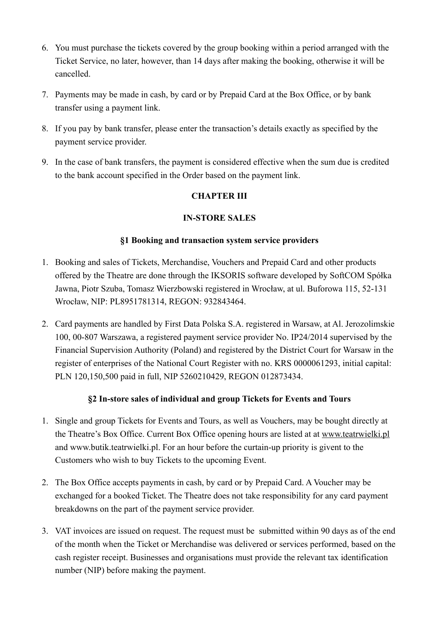- 6. You must purchase the tickets covered by the group booking within a period arranged with the Ticket Service, no later, however, than 14 days after making the booking, otherwise it will be cancelled.
- 7. Payments may be made in cash, by card or by Prepaid Card at the Box Office, or by bank transfer using a payment link.
- 8. If you pay by bank transfer, please enter the transaction's details exactly as specified by the payment service provider.
- 9. In the case of bank transfers, the payment is considered effective when the sum due is credited to the bank account specified in the Order based on the payment link.

## **CHAPTER III**

## **IN-STORE SALES**

### **§1 Booking and transaction system service providers**

- 1. Booking and sales of Tickets, Merchandise, Vouchers and Prepaid Card and other products offered by the Theatre are done through the IKSORIS software developed by SoftCOM Spółka Jawna, Piotr Szuba, Tomasz Wierzbowski registered in Wrocław, at ul. Buforowa 115, 52-131 Wrocław, NIP: PL8951781314, REGON: 932843464.
- 2. Card payments are handled by First Data Polska S.A. registered in Warsaw, at Al. Jerozolimskie 100, 00-807 Warszawa, a registered payment service provider No. IP24/2014 supervised by the Financial Supervision Authority (Poland) and registered by the District Court for Warsaw in the register of enterprises of the National Court Register with no. KRS 0000061293, initial capital: PLN 120,150,500 paid in full, NIP 5260210429, REGON 012873434.

# **§2 In-store sales of individual and group Tickets for Events and Tours**

- 1. Single and group Tickets for Events and Tours, as well as Vouchers, may be bought directly at the Theatre's Box Office. Current Box Office opening hours are listed at at [www.teatrwielki.pl](http://www.teatrwielki.pl) and www.butik.teatrwielki.pl. For an hour before the curtain-up priority is givent to the Customers who wish to buy Tickets to the upcoming Event.
- 2. The Box Office accepts payments in cash, by card or by Prepaid Card. A Voucher may be exchanged for a booked Ticket. The Theatre does not take responsibility for any card payment breakdowns on the part of the payment service provider.
- 3. VAT invoices are issued on request. The request must be submitted within 90 days as of the end of the month when the Ticket or Merchandise was delivered or services performed, based on the cash register receipt. Businesses and organisations must provide the relevant tax identification number (NIP) before making the payment.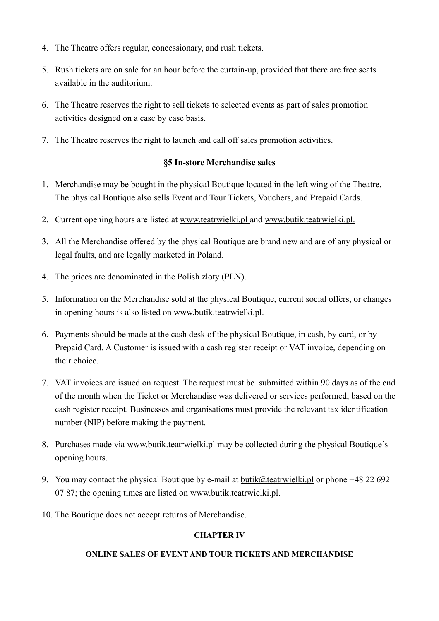- 4. The Theatre offers regular, concessionary, and rush tickets.
- 5. Rush tickets are on sale for an hour before the curtain-up, provided that there are free seats available in the auditorium.
- 6. The Theatre reserves the right to sell tickets to selected events as part of sales promotion activities designed on a case by case basis.
- 7. The Theatre reserves the right to launch and call off sales promotion activities.

### **§5 In-store Merchandise sales**

- 1. Merchandise may be bought in the physical Boutique located in the left wing of the Theatre. The physical Boutique also sells Event and Tour Tickets, Vouchers, and Prepaid Cards.
- 2. Current opening hours are listed at [www.teatrwielki.pl](http://www.teatrwielki.pl) and [www.butik.teatrwielki.pl.](http://www.butik.teatrwielki.pl)
- 3. All the Merchandise offered by the physical Boutique are brand new and are of any physical or legal faults, and are legally marketed in Poland.
- 4. The prices are denominated in the Polish zloty (PLN).
- 5. Information on the Merchandise sold at the physical Boutique, current social offers, or changes in opening hours is also listed on [www.butik.teatrwielki.pl](http://www.butik.teatrwielki.pl).
- 6. Payments should be made at the cash desk of the physical Boutique, in cash, by card, or by Prepaid Card. A Customer is issued with a cash register receipt or VAT invoice, depending on their choice.
- 7. VAT invoices are issued on request. The request must be submitted within 90 days as of the end of the month when the Ticket or Merchandise was delivered or services performed, based on the cash register receipt. Businesses and organisations must provide the relevant tax identification number (NIP) before making the payment.
- 8. Purchases made via www.butik.teatrwielki.pl may be collected during the physical Boutique's opening hours.
- 9. You may contact the physical Boutique by e-mail at  $\underline{butik@text{teatrwielki.pl}}$  or phone +48 22 692 07 87; the opening times are listed on www.butik.teatrwielki.pl.
- 10. The Boutique does not accept returns of Merchandise.

#### **CHAPTER IV**

#### **ONLINE SALES OF EVENT AND TOUR TICKETS AND MERCHANDISE**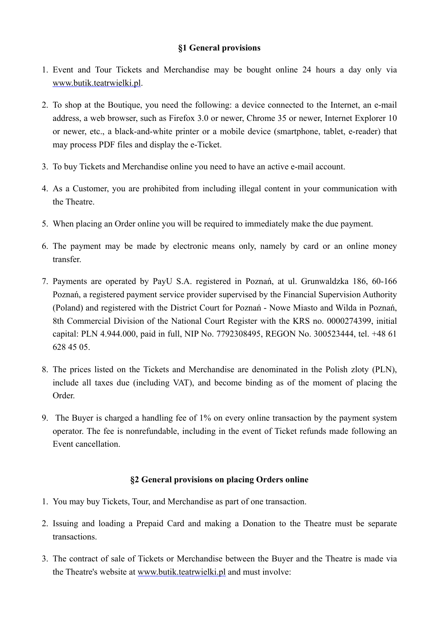### **§1 General provisions**

- 1. Event and Tour Tickets and Merchandise may be bought online 24 hours a day only via [www.butik.teatrwielki.pl.](http://www.butik.teatrwielki.pl)
- 2. To shop at the Boutique, you need the following: a device connected to the Internet, an e-mail address, a web browser, such as Firefox 3.0 or newer, Chrome 35 or newer, Internet Explorer 10 or newer, etc., a black-and-white printer or a mobile device (smartphone, tablet, e-reader) that may process PDF files and display the e-Ticket.
- 3. To buy Tickets and Merchandise online you need to have an active e-mail account.
- 4. As a Customer, you are prohibited from including illegal content in your communication with the Theatre.
- 5. When placing an Order online you will be required to immediately make the due payment.
- 6. The payment may be made by electronic means only, namely by card or an online money transfer.
- 7. Payments are operated by PayU S.A. registered in Poznań, at ul. Grunwaldzka 186, 60-166 Poznań, a registered payment service provider supervised by the Financial Supervision Authority (Poland) and registered with the District Court for Poznań - Nowe Miasto and Wilda in Poznań, 8th Commercial Division of the National Court Register with the KRS no. 0000274399, initial capital: PLN 4.944.000, paid in full, NIP No. 7792308495, REGON No. 300523444, tel. +48 61 628 45 05.
- 8. The prices listed on the Tickets and Merchandise are denominated in the Polish zloty (PLN), include all taxes due (including VAT), and become binding as of the moment of placing the Order.
- 9. The Buyer is charged a handling fee of 1% on every online transaction by the payment system operator. The fee is nonrefundable, including in the event of Ticket refunds made following an Event cancellation.

### **§2 General provisions on placing Orders online**

- 1. You may buy Tickets, Tour, and Merchandise as part of one transaction.
- 2. Issuing and loading a Prepaid Card and making a Donation to the Theatre must be separate transactions.
- 3. The contract of sale of Tickets or Merchandise between the Buyer and the Theatre is made via the Theatre's website at [www.butik.teatrwielki.pl](http://www.teatrwielki.pl) and must involve: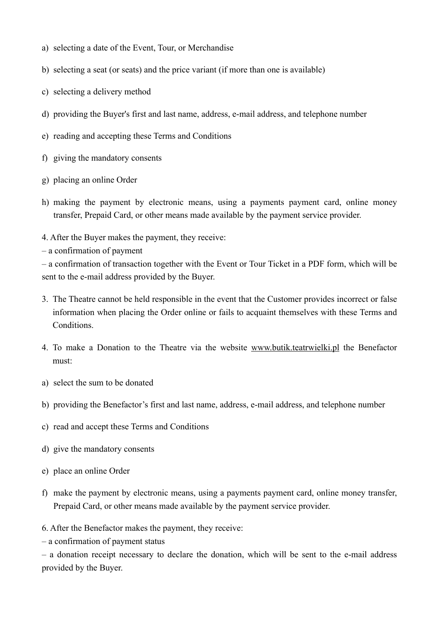- a) selecting a date of the Event, Tour, or Merchandise
- b) selecting a seat (or seats) and the price variant (if more than one is available)
- c) selecting a delivery method
- d) providing the Buyer's first and last name, address, e-mail address, and telephone number
- e) reading and accepting these Terms and Conditions
- f) giving the mandatory consents
- g) placing an online Order
- h) making the payment by electronic means, using a payments payment card, online money transfer, Prepaid Card, or other means made available by the payment service provider.
- 4. After the Buyer makes the payment, they receive:
- a confirmation of payment

– a confirmation of transaction together with the Event or Tour Ticket in a PDF form, which will be sent to the e-mail address provided by the Buyer.

- 3. The Theatre cannot be held responsible in the event that the Customer provides incorrect or false information when placing the Order online or fails to acquaint themselves with these Terms and Conditions.
- 4. To make a Donation to the Theatre via the website [www.butik.teatrwielki.pl](http://www.butik.teatrwielki.pl) the Benefactor must:
- a) select the sum to be donated
- b) providing the Benefactor's first and last name, address, e-mail address, and telephone number
- c) read and accept these Terms and Conditions
- d) give the mandatory consents
- e) place an online Order
- f) make the payment by electronic means, using a payments payment card, online money transfer, Prepaid Card, or other means made available by the payment service provider.

6. After the Benefactor makes the payment, they receive:

– a confirmation of payment status

– a donation receipt necessary to declare the donation, which will be sent to the e-mail address provided by the Buyer.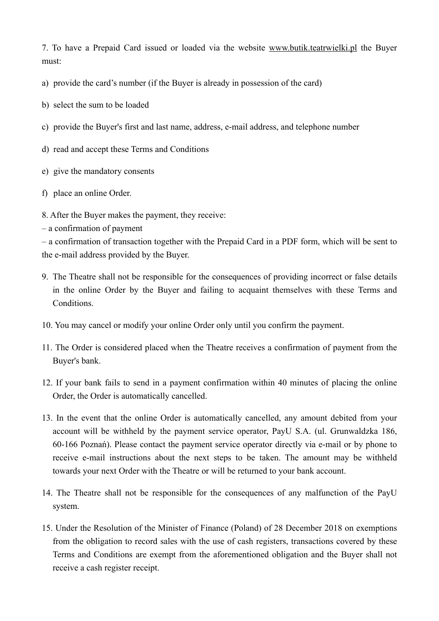7. To have a Prepaid Card issued or loaded via the website [www.butik.teatrwielki.pl](http://www.butik.teatrwielki.pl) the Buyer must:

- a) provide the card's number (if the Buyer is already in possession of the card)
- b) select the sum to be loaded
- c) provide the Buyer's first and last name, address, e-mail address, and telephone number
- d) read and accept these Terms and Conditions
- e) give the mandatory consents
- f) place an online Order.
- 8. After the Buyer makes the payment, they receive:
- a confirmation of payment

– a confirmation of transaction together with the Prepaid Card in a PDF form, which will be sent to the e-mail address provided by the Buyer.

- 9. The Theatre shall not be responsible for the consequences of providing incorrect or false details in the online Order by the Buyer and failing to acquaint themselves with these Terms and Conditions.
- 10. You may cancel or modify your online Order only until you confirm the payment.
- 11. The Order is considered placed when the Theatre receives a confirmation of payment from the Buyer's bank.
- 12. If your bank fails to send in a payment confirmation within 40 minutes of placing the online Order, the Order is automatically cancelled.
- 13. In the event that the online Order is automatically cancelled, any amount debited from your account will be withheld by the payment service operator, PayU S.A. (ul. Grunwaldzka 186, 60-166 Poznań). Please contact the payment service operator directly via e-mail or by phone to receive e-mail instructions about the next steps to be taken. The amount may be withheld towards your next Order with the Theatre or will be returned to your bank account.
- 14. The Theatre shall not be responsible for the consequences of any malfunction of the PayU system.
- 15. Under the Resolution of the Minister of Finance (Poland) of 28 December 2018 on exemptions from the obligation to record sales with the use of cash registers, transactions covered by these Terms and Conditions are exempt from the aforementioned obligation and the Buyer shall not receive a cash register receipt.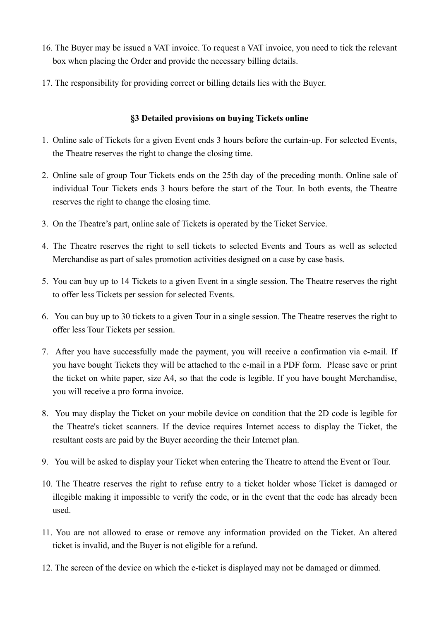- 16. The Buyer may be issued a VAT invoice. To request a VAT invoice, you need to tick the relevant box when placing the Order and provide the necessary billing details.
- 17. The responsibility for providing correct or billing details lies with the Buyer.

### **§3 Detailed provisions on buying Tickets online**

- 1. Online sale of Tickets for a given Event ends 3 hours before the curtain-up. For selected Events, the Theatre reserves the right to change the closing time.
- 2. Online sale of group Tour Tickets ends on the 25th day of the preceding month. Online sale of individual Tour Tickets ends 3 hours before the start of the Tour. In both events, the Theatre reserves the right to change the closing time.
- 3. On the Theatre's part, online sale of Tickets is operated by the Ticket Service.
- 4. The Theatre reserves the right to sell tickets to selected Events and Tours as well as selected Merchandise as part of sales promotion activities designed on a case by case basis.
- 5. You can buy up to 14 Tickets to a given Event in a single session. The Theatre reserves the right to offer less Tickets per session for selected Events.
- 6. You can buy up to 30 tickets to a given Tour in a single session. The Theatre reserves the right to offer less Tour Tickets per session.
- 7. After you have successfully made the payment, you will receive a confirmation via e-mail. If you have bought Tickets they will be attached to the e-mail in a PDF form. Please save or print the ticket on white paper, size A4, so that the code is legible. If you have bought Merchandise, you will receive a pro forma invoice.
- 8. You may display the Ticket on your mobile device on condition that the 2D code is legible for the Theatre's ticket scanners. If the device requires Internet access to display the Ticket, the resultant costs are paid by the Buyer according the their Internet plan.
- 9. You will be asked to display your Ticket when entering the Theatre to attend the Event or Tour.
- 10. The Theatre reserves the right to refuse entry to a ticket holder whose Ticket is damaged or illegible making it impossible to verify the code, or in the event that the code has already been used.
- 11. You are not allowed to erase or remove any information provided on the Ticket. An altered ticket is invalid, and the Buyer is not eligible for a refund.
- 12. The screen of the device on which the e-ticket is displayed may not be damaged or dimmed.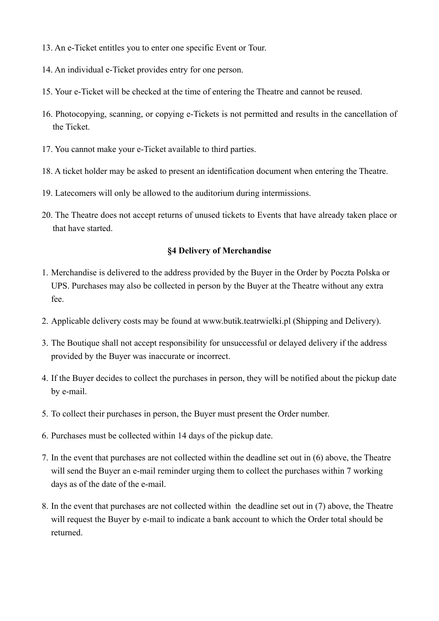- 13. An e-Ticket entitles you to enter one specific Event or Tour.
- 14. An individual e-Ticket provides entry for one person.
- 15. Your e-Ticket will be checked at the time of entering the Theatre and cannot be reused.
- 16. Photocopying, scanning, or copying e-Tickets is not permitted and results in the cancellation of the Ticket.
- 17. You cannot make your e-Ticket available to third parties.
- 18. A ticket holder may be asked to present an identification document when entering the Theatre.
- 19. Latecomers will only be allowed to the auditorium during intermissions.
- 20. The Theatre does not accept returns of unused tickets to Events that have already taken place or that have started.

#### **§4 Delivery of Merchandise**

- 1. Merchandise is delivered to the address provided by the Buyer in the Order by Poczta Polska or UPS. Purchases may also be collected in person by the Buyer at the Theatre without any extra fee.
- 2. Applicable delivery costs may be found at www.butik.teatrwielki.pl (Shipping and Delivery).
- 3. The Boutique shall not accept responsibility for unsuccessful or delayed delivery if the address provided by the Buyer was inaccurate or incorrect.
- 4. If the Buyer decides to collect the purchases in person, they will be notified about the pickup date by e-mail.
- 5. To collect their purchases in person, the Buyer must present the Order number.
- 6. Purchases must be collected within 14 days of the pickup date.
- 7. In the event that purchases are not collected within the deadline set out in (6) above, the Theatre will send the Buyer an e-mail reminder urging them to collect the purchases within 7 working days as of the date of the e-mail.
- 8. In the event that purchases are not collected within the deadline set out in (7) above, the Theatre will request the Buyer by e-mail to indicate a bank account to which the Order total should be returned.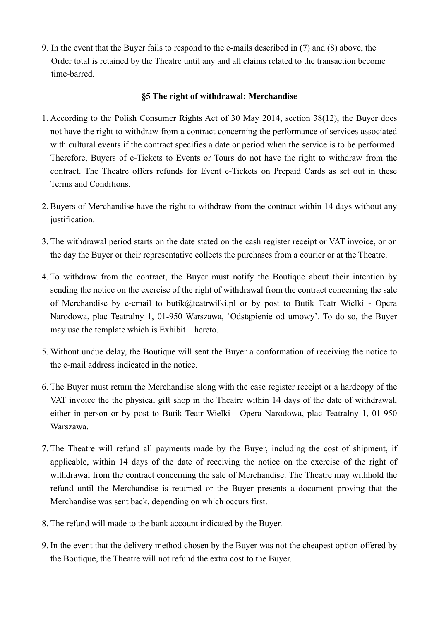9. In the event that the Buyer fails to respond to the e-mails described in (7) and (8) above, the Order total is retained by the Theatre until any and all claims related to the transaction become time-barred.

### **§5 The right of withdrawal: Merchandise**

- 1. According to the Polish Consumer Rights Act of 30 May 2014, section 38(12), the Buyer does not have the right to withdraw from a contract concerning the performance of services associated with cultural events if the contract specifies a date or period when the service is to be performed. Therefore, Buyers of e-Tickets to Events or Tours do not have the right to withdraw from the contract. The Theatre offers refunds for Event e-Tickets on Prepaid Cards as set out in these Terms and Conditions.
- 2. Buyers of Merchandise have the right to withdraw from the contract within 14 days without any justification.
- 3. The withdrawal period starts on the date stated on the cash register receipt or VAT invoice, or on the day the Buyer or their representative collects the purchases from a courier or at the Theatre.
- 4. To withdraw from the contract, the Buyer must notify the Boutique about their intention by sending the notice on the exercise of the right of withdrawal from the contract concerning the sale of Merchandise by e-email to [butik@teatrwilki.pl](mailto:butik@teatrwilki.pl) or by post to Butik Teatr Wielki - Opera Narodowa, plac Teatralny 1, 01-950 Warszawa, 'Odstąpienie od umowy'. To do so, the Buyer may use the template which is Exhibit 1 hereto.
- 5. Without undue delay, the Boutique will sent the Buyer a conformation of receiving the notice to the e-mail address indicated in the notice.
- 6. The Buyer must return the Merchandise along with the case register receipt or a hardcopy of the VAT invoice the the physical gift shop in the Theatre within 14 days of the date of withdrawal, either in person or by post to Butik Teatr Wielki - Opera Narodowa, plac Teatralny 1, 01-950 Warszawa.
- 7. The Theatre will refund all payments made by the Buyer, including the cost of shipment, if applicable, within 14 days of the date of receiving the notice on the exercise of the right of withdrawal from the contract concerning the sale of Merchandise. The Theatre may withhold the refund until the Merchandise is returned or the Buyer presents a document proving that the Merchandise was sent back, depending on which occurs first.
- 8. The refund will made to the bank account indicated by the Buyer.
- 9. In the event that the delivery method chosen by the Buyer was not the cheapest option offered by the Boutique, the Theatre will not refund the extra cost to the Buyer.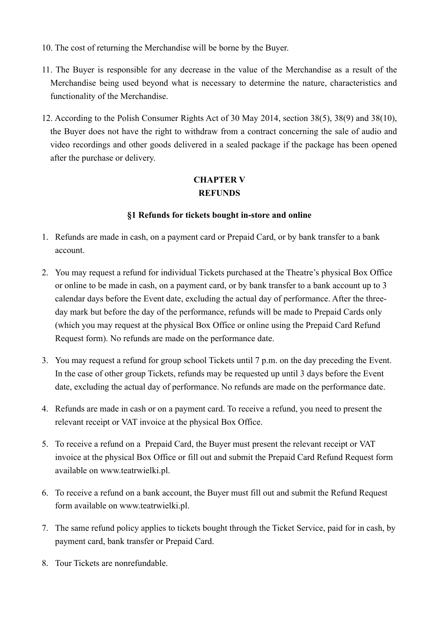- 10. The cost of returning the Merchandise will be borne by the Buyer.
- 11. The Buyer is responsible for any decrease in the value of the Merchandise as a result of the Merchandise being used beyond what is necessary to determine the nature, characteristics and functionality of the Merchandise.
- 12. According to the Polish Consumer Rights Act of 30 May 2014, section 38(5), 38(9) and 38(10), the Buyer does not have the right to withdraw from a contract concerning the sale of audio and video recordings and other goods delivered in a sealed package if the package has been opened after the purchase or delivery.

# **CHAPTER V REFUNDS**

### **§1 Refunds for tickets bought in-store and online**

- 1. Refunds are made in cash, on a payment card or Prepaid Card, or by bank transfer to a bank account.
- 2. You may request a refund for individual Tickets purchased at the Theatre's physical Box Office or online to be made in cash, on a payment card, or by bank transfer to a bank account up to 3 calendar days before the Event date, excluding the actual day of performance. After the threeday mark but before the day of the performance, refunds will be made to Prepaid Cards only (which you may request at the physical Box Office or online using the Prepaid Card Refund Request form). No refunds are made on the performance date.
- 3. You may request a refund for group school Tickets until 7 p.m. on the day preceding the Event. In the case of other group Tickets, refunds may be requested up until 3 days before the Event date, excluding the actual day of performance. No refunds are made on the performance date.
- 4. Refunds are made in cash or on a payment card. To receive a refund, you need to present the relevant receipt or VAT invoice at the physical Box Office.
- 5. To receive a refund on a Prepaid Card, the Buyer must present the relevant receipt or VAT invoice at the physical Box Office or fill out and submit the Prepaid Card Refund Request form available on www.teatrwielki.pl.
- 6. To receive a refund on a bank account, the Buyer must fill out and submit the Refund Request form available on www.teatrwielki.pl.
- 7. The same refund policy applies to tickets bought through the Ticket Service, paid for in cash, by payment card, bank transfer or Prepaid Card.
- 8. Tour Tickets are nonrefundable.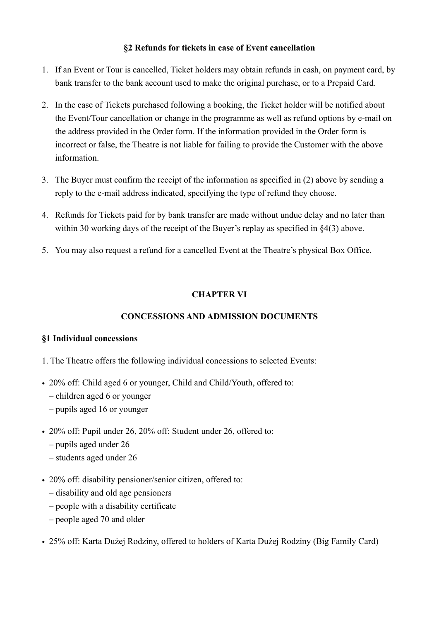### **§2 Refunds for tickets in case of Event cancellation**

- 1. If an Event or Tour is cancelled, Ticket holders may obtain refunds in cash, on payment card, by bank transfer to the bank account used to make the original purchase, or to a Prepaid Card.
- 2. In the case of Tickets purchased following a booking, the Ticket holder will be notified about the Event/Tour cancellation or change in the programme as well as refund options by e-mail on the address provided in the Order form. If the information provided in the Order form is incorrect or false, the Theatre is not liable for failing to provide the Customer with the above information.
- 3. The Buyer must confirm the receipt of the information as specified in (2) above by sending a reply to the e-mail address indicated, specifying the type of refund they choose.
- 4. Refunds for Tickets paid for by bank transfer are made without undue delay and no later than within 30 working days of the receipt of the Buyer's replay as specified in  $\S4(3)$  above.
- 5. You may also request a refund for a cancelled Event at the Theatre's physical Box Office.

## **CHAPTER VI**

### **CONCESSIONS AND ADMISSION DOCUMENTS**

### **§1 Individual concessions**

- 1. The Theatre offers the following individual concessions to selected Events:
- 20% off: Child aged 6 or younger, Child and Child/Youth, offered to:
	- children aged 6 or younger
	- pupils aged 16 or younger
- 20% off: Pupil under 26, 20% off: Student under 26, offered to:
	- pupils aged under 26
	- students aged under 26
- 20% off: disability pensioner/senior citizen, offered to:
	- disability and old age pensioners
	- people with a disability certificate
	- people aged 70 and older
- 25% off: Karta Dużej Rodziny, offered to holders of Karta Dużej Rodziny (Big Family Card)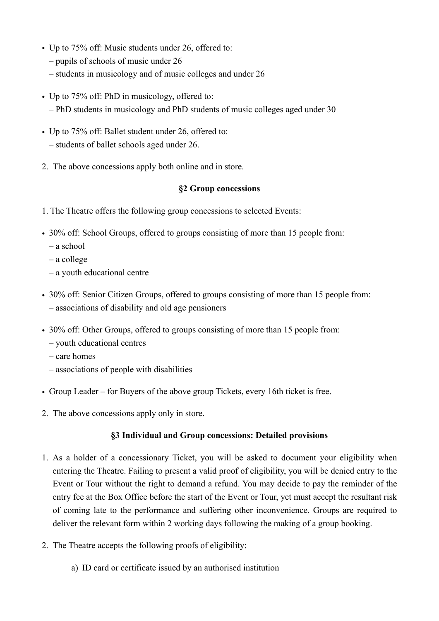- Up to 75% off: Music students under 26, offered to:
	- pupils of schools of music under 26
	- students in musicology and of music colleges and under 26
- Up to 75% off: PhD in musicology, offered to: – PhD students in musicology and PhD students of music colleges aged under 30
- Up to 75% off: Ballet student under 26, offered to: – students of ballet schools aged under 26.
- 2. The above concessions apply both online and in store.

#### **§2 Group concessions**

- 1. The Theatre offers the following group concessions to selected Events:
- 30% off: School Groups, offered to groups consisting of more than 15 people from:
	- a school
	- a college
	- a youth educational centre
- 30% off: Senior Citizen Groups, offered to groups consisting of more than 15 people from: – associations of disability and old age pensioners
- 30% off: Other Groups, offered to groups consisting of more than 15 people from:
	- youth educational centres
	- care homes
	- associations of people with disabilities
- Group Leader for Buyers of the above group Tickets, every 16th ticket is free.
- 2. The above concessions apply only in store.

#### **§3 Individual and Group concessions: Detailed provisions**

- 1. As a holder of a concessionary Ticket, you will be asked to document your eligibility when entering the Theatre. Failing to present a valid proof of eligibility, you will be denied entry to the Event or Tour without the right to demand a refund. You may decide to pay the reminder of the entry fee at the Box Office before the start of the Event or Tour, yet must accept the resultant risk of coming late to the performance and suffering other inconvenience. Groups are required to deliver the relevant form within 2 working days following the making of a group booking.
- 2. The Theatre accepts the following proofs of eligibility:
	- a) ID card or certificate issued by an authorised institution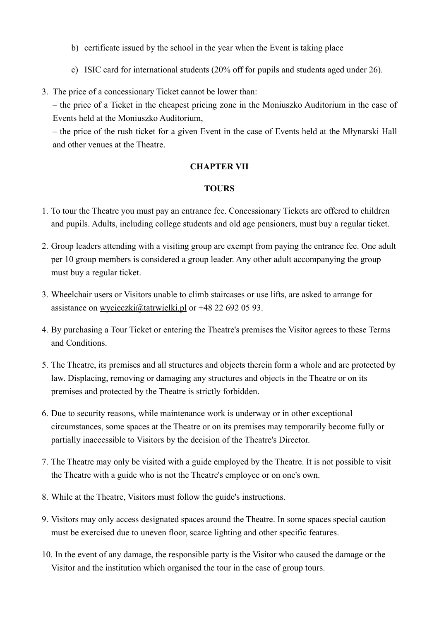- b) certificate issued by the school in the year when the Event is taking place
- c) ISIC card for international students (20% off for pupils and students aged under 26).
- 3. The price of a concessionary Ticket cannot be lower than:

– the price of a Ticket in the cheapest pricing zone in the Moniuszko Auditorium in the case of Events held at the Moniuszko Auditorium,

– the price of the rush ticket for a given Event in the case of Events held at the Młynarski Hall and other venues at the Theatre.

### **CHAPTER VII**

### **TOURS**

- 1. To tour the Theatre you must pay an entrance fee. Concessionary Tickets are offered to children and pupils. Adults, including college students and old age pensioners, must buy a regular ticket.
- 2. Group leaders attending with a visiting group are exempt from paying the entrance fee. One adult per 10 group members is considered a group leader. Any other adult accompanying the group must buy a regular ticket.
- 3. Wheelchair users or Visitors unable to climb staircases or use lifts, are asked to arrange for assistance on [wycieczki@tatrwielki.pl](mailto:wycieczki@tatrwielki.pl) or +48 22 692 05 93.
- 4. By purchasing a Tour Ticket or entering the Theatre's premises the Visitor agrees to these Terms and Conditions.
- 5. The Theatre, its premises and all structures and objects therein form a whole and are protected by law. Displacing, removing or damaging any structures and objects in the Theatre or on its premises and protected by the Theatre is strictly forbidden.
- 6. Due to security reasons, while maintenance work is underway or in other exceptional circumstances, some spaces at the Theatre or on its premises may temporarily become fully or partially inaccessible to Visitors by the decision of the Theatre's Director.
- 7. The Theatre may only be visited with a guide employed by the Theatre. It is not possible to visit the Theatre with a guide who is not the Theatre's employee or on one's own.
- 8. While at the Theatre, Visitors must follow the guide's instructions.
- 9. Visitors may only access designated spaces around the Theatre. In some spaces special caution must be exercised due to uneven floor, scarce lighting and other specific features.
- 10. In the event of any damage, the responsible party is the Visitor who caused the damage or the Visitor and the institution which organised the tour in the case of group tours.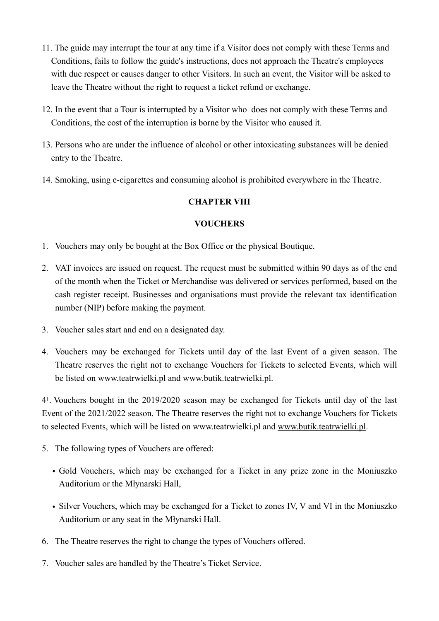- 11. The guide may interrupt the tour at any time if a Visitor does not comply with these Terms and Conditions, fails to follow the guide's instructions, does not approach the Theatre's employees with due respect or causes danger to other Visitors. In such an event, the Visitor will be asked to leave the Theatre without the right to request a ticket refund or exchange.
- 12. In the event that a Tour is interrupted by a Visitor who does not comply with these Terms and Conditions, the cost of the interruption is borne by the Visitor who caused it.
- 13. Persons who are under the influence of alcohol or other intoxicating substances will be denied entry to the Theatre.
- 14. Smoking, using e-cigarettes and consuming alcohol is prohibited everywhere in the Theatre.

## **CHAPTER VIII**

### **VOUCHERS**

- 1. Vouchers may only be bought at the Box Office or the physical Boutique.
- 2. VAT invoices are issued on request. The request must be submitted within 90 days as of the end of the month when the Ticket or Merchandise was delivered or services performed, based on the cash register receipt. Businesses and organisations must provide the relevant tax identification number (NIP) before making the payment.
- 3. Voucher sales start and end on a designated day.
- 4. Vouchers may be exchanged for Tickets until day of the last Event of a given season. The Theatre reserves the right not to exchange Vouchers for Tickets to selected Events, which will be listed on www.teatrwielki.pl and [www.butik.teatrwielki.pl.](http://www.butik.teatrwielki.pl)

41. Vouchers bought in the 2019/2020 season may be exchanged for Tickets until day of the last Event of the 2021/2022 season. The Theatre reserves the right not to exchange Vouchers for Tickets to selected Events, which will be listed on www.teatrwielki.pl and [www.butik.teatrwielki.pl](http://www.butik.teatrwielki.pl).

- 5. The following types of Vouchers are offered:
	- Gold Vouchers, which may be exchanged for a Ticket in any prize zone in the Moniuszko Auditorium or the Młynarski Hall,
	- Silver Vouchers, which may be exchanged for a Ticket to zones IV, V and VI in the Moniuszko Auditorium or any seat in the Młynarski Hall.
- 6. The Theatre reserves the right to change the types of Vouchers offered.
- 7. Voucher sales are handled by the Theatre's Ticket Service.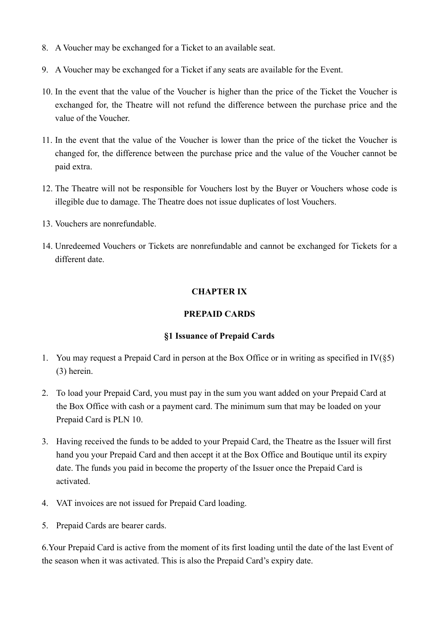- 8. A Voucher may be exchanged for a Ticket to an available seat.
- 9. A Voucher may be exchanged for a Ticket if any seats are available for the Event.
- 10. In the event that the value of the Voucher is higher than the price of the Ticket the Voucher is exchanged for, the Theatre will not refund the difference between the purchase price and the value of the Voucher.
- 11. In the event that the value of the Voucher is lower than the price of the ticket the Voucher is changed for, the difference between the purchase price and the value of the Voucher cannot be paid extra.
- 12. The Theatre will not be responsible for Vouchers lost by the Buyer or Vouchers whose code is illegible due to damage. The Theatre does not issue duplicates of lost Vouchers.
- 13. Vouchers are nonrefundable.
- 14. Unredeemed Vouchers or Tickets are nonrefundable and cannot be exchanged for Tickets for a different date.

### **CHAPTER IX**

### **PREPAID CARDS**

#### **§1 Issuance of Prepaid Cards**

- 1. You may request a Prepaid Card in person at the Box Office or in writing as specified in  $IV(\S5)$ (3) herein.
- 2. To load your Prepaid Card, you must pay in the sum you want added on your Prepaid Card at the Box Office with cash or a payment card. The minimum sum that may be loaded on your Prepaid Card is PLN 10.
- 3. Having received the funds to be added to your Prepaid Card, the Theatre as the Issuer will first hand you your Prepaid Card and then accept it at the Box Office and Boutique until its expiry date. The funds you paid in become the property of the Issuer once the Prepaid Card is activated.
- 4. VAT invoices are not issued for Prepaid Card loading.
- 5. Prepaid Cards are bearer cards.

6.Your Prepaid Card is active from the moment of its first loading until the date of the last Event of the season when it was activated. This is also the Prepaid Card's expiry date.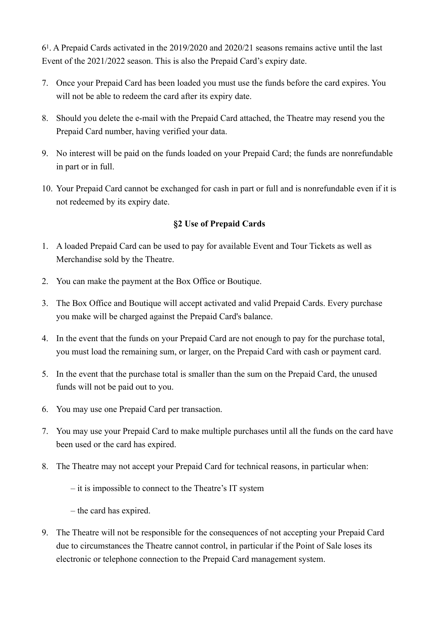61. A Prepaid Cards activated in the 2019/2020 and 2020/21 seasons remains active until the last Event of the 2021/2022 season. This is also the Prepaid Card's expiry date.

- 7. Once your Prepaid Card has been loaded you must use the funds before the card expires. You will not be able to redeem the card after its expiry date.
- 8. Should you delete the e-mail with the Prepaid Card attached, the Theatre may resend you the Prepaid Card number, having verified your data.
- 9. No interest will be paid on the funds loaded on your Prepaid Card; the funds are nonrefundable in part or in full.
- 10. Your Prepaid Card cannot be exchanged for cash in part or full and is nonrefundable even if it is not redeemed by its expiry date.

### **§2 Use of Prepaid Cards**

- 1. A loaded Prepaid Card can be used to pay for available Event and Tour Tickets as well as Merchandise sold by the Theatre.
- 2. You can make the payment at the Box Office or Boutique.
- 3. The Box Office and Boutique will accept activated and valid Prepaid Cards. Every purchase you make will be charged against the Prepaid Card's balance.
- 4. In the event that the funds on your Prepaid Card are not enough to pay for the purchase total, you must load the remaining sum, or larger, on the Prepaid Card with cash or payment card.
- 5. In the event that the purchase total is smaller than the sum on the Prepaid Card, the unused funds will not be paid out to you.
- 6. You may use one Prepaid Card per transaction.
- 7. You may use your Prepaid Card to make multiple purchases until all the funds on the card have been used or the card has expired.
- 8. The Theatre may not accept your Prepaid Card for technical reasons, in particular when:
	- it is impossible to connect to the Theatre's IT system

– the card has expired.

9. The Theatre will not be responsible for the consequences of not accepting your Prepaid Card due to circumstances the Theatre cannot control, in particular if the Point of Sale loses its electronic or telephone connection to the Prepaid Card management system.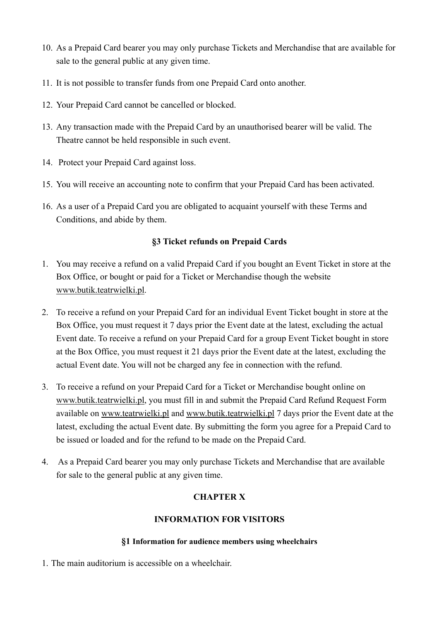- 10. As a Prepaid Card bearer you may only purchase Tickets and Merchandise that are available for sale to the general public at any given time.
- 11. It is not possible to transfer funds from one Prepaid Card onto another.
- 12. Your Prepaid Card cannot be cancelled or blocked.
- 13. Any transaction made with the Prepaid Card by an unauthorised bearer will be valid. The Theatre cannot be held responsible in such event.
- 14. Protect your Prepaid Card against loss.
- 15. You will receive an accounting note to confirm that your Prepaid Card has been activated.
- 16. As a user of a Prepaid Card you are obligated to acquaint yourself with these Terms and Conditions, and abide by them.

### **§3 Ticket refunds on Prepaid Cards**

- 1. You may receive a refund on a valid Prepaid Card if you bought an Event Ticket in store at the Box Office, or bought or paid for a Ticket or Merchandise though the website [www.butik.teatrwielki.pl.](http://www.butik.teatrwielki.pl)
- 2. To receive a refund on your Prepaid Card for an individual Event Ticket bought in store at the Box Office, you must request it 7 days prior the Event date at the latest, excluding the actual Event date. To receive a refund on your Prepaid Card for a group Event Ticket bought in store at the Box Office, you must request it 21 days prior the Event date at the latest, excluding the actual Event date. You will not be charged any fee in connection with the refund.
- 3. To receive a refund on your Prepaid Card for a Ticket or Merchandise bought online on [www.butik.teatrwielki.pl,](http://www.butik.teatrwielki.pl) you must fill in and submit the Prepaid Card Refund Request Form available on [www.teatrwielki.pl](http://www.teatrwielki.pl) and [www.butik.teatrwielki.pl](http://www.butik.teatrwielki.pl) 7 days prior the Event date at the latest, excluding the actual Event date. By submitting the form you agree for a Prepaid Card to be issued or loaded and for the refund to be made on the Prepaid Card.
- 4. As a Prepaid Card bearer you may only purchase Tickets and Merchandise that are available for sale to the general public at any given time.

# **CHAPTER X**

### **INFORMATION FOR VISITORS**

#### **§1 Information for audience members using wheelchairs**

1. The main auditorium is accessible on a wheelchair.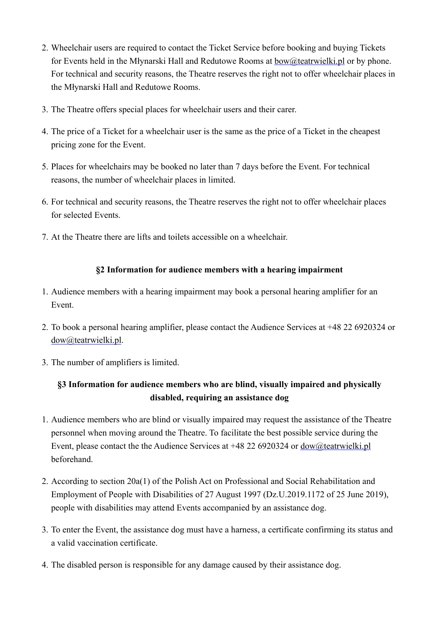- 2. Wheelchair users are required to contact the Ticket Service before booking and buying Tickets for Events held in the Młynarski Hall and Redutowe Rooms at [bow@teatrwielki.pl](mailto:bow@teatrwielki.pl) or by phone. For technical and security reasons, the Theatre reserves the right not to offer wheelchair places in the Młynarski Hall and Redutowe Rooms.
- 3. The Theatre offers special places for wheelchair users and their carer.
- 4. The price of a Ticket for a wheelchair user is the same as the price of a Ticket in the cheapest pricing zone for the Event.
- 5. Places for wheelchairs may be booked no later than 7 days before the Event. For technical reasons, the number of wheelchair places in limited.
- 6. For technical and security reasons, the Theatre reserves the right not to offer wheelchair places for selected Events.
- 7. At the Theatre there are lifts and toilets accessible on a wheelchair.

### **§2 Information for audience members with a hearing impairment**

- 1. Audience members with a hearing impairment may book a personal hearing amplifier for an Event.
- 2. To book a personal hearing amplifier, please contact the Audience Services at +48 22 6920324 or [dow@teatrwielki.pl.](mailto:dow@teatrwielki.pl)
- 3. The number of amplifiers is limited.

# **§3 Information for audience members who are blind, visually impaired and physically disabled, requiring an assistance dog**

- 1. Audience members who are blind or visually impaired may request the assistance of the Theatre personnel when moving around the Theatre. To facilitate the best possible service during the Event, please contact the the Audience Services at +48 22 6920324 or [dow@teatrwielki.pl](mailto:dow@teatrwielki.pl) beforehand.
- 2. According to section 20a(1) of the Polish Act on Professional and Social Rehabilitation and Employment of People with Disabilities of 27 August 1997 (Dz.U.2019.1172 of 25 June 2019), people with disabilities may attend Events accompanied by an assistance dog.
- 3. To enter the Event, the assistance dog must have a harness, a certificate confirming its status and a valid vaccination certificate.
- 4. The disabled person is responsible for any damage caused by their assistance dog.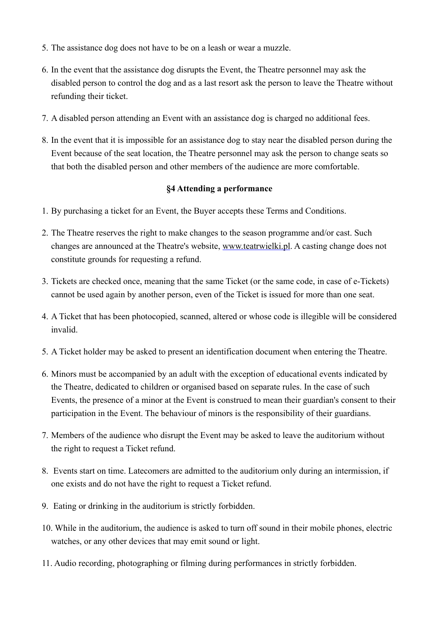- 5. The assistance dog does not have to be on a leash or wear a muzzle.
- 6. In the event that the assistance dog disrupts the Event, the Theatre personnel may ask the disabled person to control the dog and as a last resort ask the person to leave the Theatre without refunding their ticket.
- 7. A disabled person attending an Event with an assistance dog is charged no additional fees.
- 8. In the event that it is impossible for an assistance dog to stay near the disabled person during the Event because of the seat location, the Theatre personnel may ask the person to change seats so that both the disabled person and other members of the audience are more comfortable.

#### **§4 Attending a performance**

- 1. By purchasing a ticket for an Event, the Buyer accepts these Terms and Conditions.
- 2. The Theatre reserves the right to make changes to the season programme and/or cast. Such changes are announced at the Theatre's website, [www.teatrwielki.pl.](http://www.teatrwielki.pl) A casting change does not constitute grounds for requesting a refund.
- 3. Tickets are checked once, meaning that the same Ticket (or the same code, in case of e-Tickets) cannot be used again by another person, even of the Ticket is issued for more than one seat.
- 4. A Ticket that has been photocopied, scanned, altered or whose code is illegible will be considered invalid.
- 5. A Ticket holder may be asked to present an identification document when entering the Theatre.
- 6. Minors must be accompanied by an adult with the exception of educational events indicated by the Theatre, dedicated to children or organised based on separate rules. In the case of such Events, the presence of a minor at the Event is construed to mean their guardian's consent to their participation in the Event. The behaviour of minors is the responsibility of their guardians.
- 7. Members of the audience who disrupt the Event may be asked to leave the auditorium without the right to request a Ticket refund.
- 8. Events start on time. Latecomers are admitted to the auditorium only during an intermission, if one exists and do not have the right to request a Ticket refund.
- 9. Eating or drinking in the auditorium is strictly forbidden.
- 10. While in the auditorium, the audience is asked to turn off sound in their mobile phones, electric watches, or any other devices that may emit sound or light.
- 11. Audio recording, photographing or filming during performances in strictly forbidden.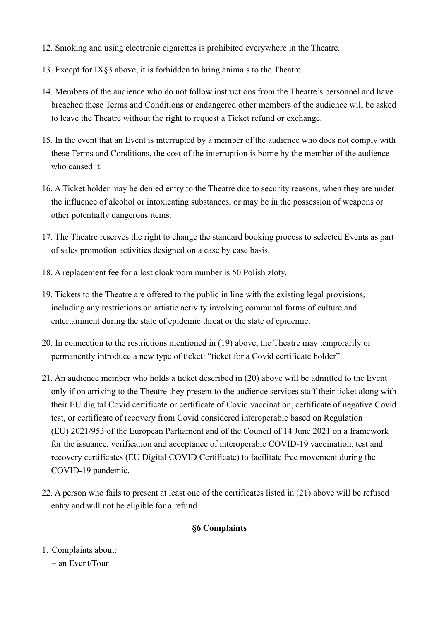- 12. Smoking and using electronic cigarettes is prohibited everywhere in the Theatre.
- 13. Except for IX§3 above, it is forbidden to bring animals to the Theatre.
- 14. Members of the audience who do not follow instructions from the Theatre's personnel and have breached these Terms and Conditions or endangered other members of the audience will be asked to leave the Theatre without the right to request a Ticket refund or exchange.
- 15. In the event that an Event is interrupted by a member of the audience who does not comply with these Terms and Conditions, the cost of the interruption is borne by the member of the audience who caused it.
- 16. A Ticket holder may be denied entry to the Theatre due to security reasons, when they are under the influence of alcohol or intoxicating substances, or may be in the possession of weapons or other potentially dangerous items.
- 17. The Theatre reserves the right to change the standard booking process to selected Events as part of sales promotion activities designed on a case by case basis.
- 18. A replacement fee for a lost cloakroom number is 50 Polish zloty.
- 19. Tickets to the Theatre are offered to the public in line with the existing legal provisions, including any restrictions on artistic activity involving communal forms of culture and entertainment during the state of epidemic threat or the state of epidemic.
- 20. In connection to the restrictions mentioned in (19) above, the Theatre may temporarily or permanently introduce a new type of ticket: "ticket for a Covid certificate holder".
- 21. An audience member who holds a ticket described in (20) above will be admitted to the Event only if on arriving to the Theatre they present to the audience services staff their ticket along with their EU digital Covid certificate or certificate of Covid vaccination, certificate of negative Covid test, or certificate of recovery from Covid considered interoperable based on Regulation (EU) 2021/953 of the European Parliament and of the Council of 14 June 2021 on a framework for the issuance, verification and acceptance of interoperable COVID-19 vaccination, test and recovery certificates (EU Digital COVID Certificate) to facilitate free movement during the COVID-19 pandemic.
- 22. A person who fails to present at least one of the certificates listed in (21) above will be refused entry and will not be eligible for a refund.

### **§6 Complaints**

- 1. Complaints about:
	- an Event/Tour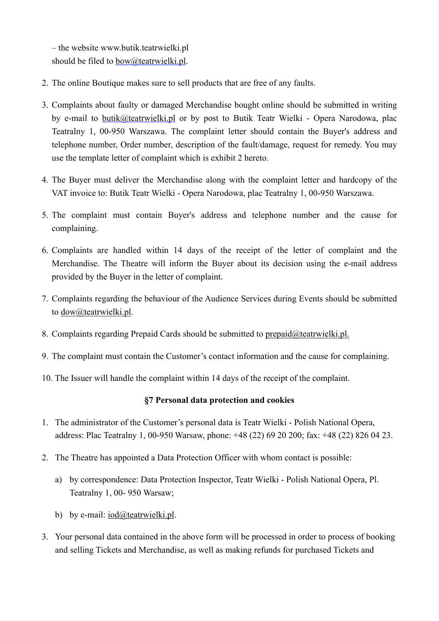– the website www.butik.teatrwielki.pl should be filed to [bow@teatrwielki.pl](mailto:bow@teatrwielki.pl).

- 2. The online Boutique makes sure to sell products that are free of any faults.
- 3. Complaints about faulty or damaged Merchandise bought online should be submitted in writing by e-mail to [butik@teatrwielki.pl](mailto:butik@teatrwielki.pl) or by post to Butik Teatr Wielki - Opera Narodowa, plac Teatralny 1, 00-950 Warszawa. The complaint letter should contain the Buyer's address and telephone number, Order number, description of the fault/damage, request for remedy. You may use the template letter of complaint which is exhibit 2 hereto.
- 4. The Buyer must deliver the Merchandise along with the complaint letter and hardcopy of the VAT invoice to: Butik Teatr Wielki - Opera Narodowa, plac Teatralny 1, 00-950 Warszawa.
- 5. The complaint must contain Buyer's address and telephone number and the cause for complaining.
- 6. Complaints are handled within 14 days of the receipt of the letter of complaint and the Merchandise. The Theatre will inform the Buyer about its decision using the e-mail address provided by the Buyer in the letter of complaint.
- 7. Complaints regarding the behaviour of the Audience Services during Events should be submitted to <u>dow@teatrwielki.pl</u>.
- 8. Complaints regarding Prepaid Cards should be submitted to [prepaid@teatrwielki.pl.](mailto:prepaid@teatrwielki.pl)
- 9. The complaint must contain the Customer's contact information and the cause for complaining.
- 10. The Issuer will handle the complaint within 14 days of the receipt of the complaint.

#### **§7 Personal data protection and cookies**

- 1. The administrator of the Customer's personal data is Teatr Wielki Polish National Opera, address: Plac Teatralny 1, 00-950 Warsaw, phone: +48 (22) 69 20 200; fax: +48 (22) 826 04 23.
- 2. The Theatre has appointed a Data Protection Officer with whom contact is possible:
	- a) by correspondence: Data Protection Inspector, Teatr Wielki Polish National Opera, Pl. Teatralny 1, 00- 950 Warsaw;
	- b) by e-mail: [iod@teatrwielki.pl](mailto:iod@teatrwielki.pl).
- 3. Your personal data contained in the above form will be processed in order to process of booking and selling Tickets and Merchandise, as well as making refunds for purchased Tickets and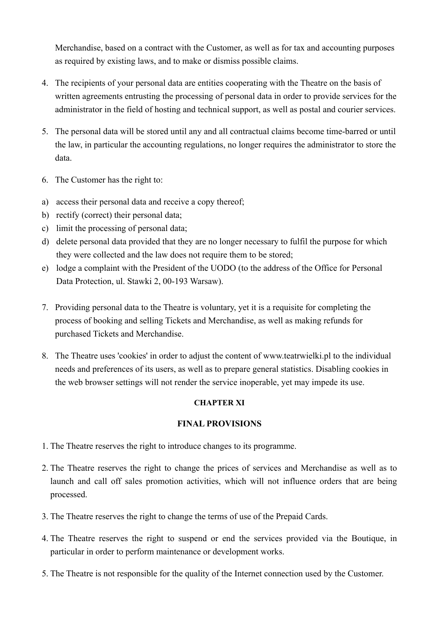Merchandise, based on a contract with the Customer, as well as for tax and accounting purposes as required by existing laws, and to make or dismiss possible claims.

- 4. The recipients of your personal data are entities cooperating with the Theatre on the basis of written agreements entrusting the processing of personal data in order to provide services for the administrator in the field of hosting and technical support, as well as postal and courier services.
- 5. The personal data will be stored until any and all contractual claims become time-barred or until the law, in particular the accounting regulations, no longer requires the administrator to store the data.
- 6. The Customer has the right to:
- a) access their personal data and receive a copy thereof;
- b) rectify (correct) their personal data;
- c) limit the processing of personal data;
- d) delete personal data provided that they are no longer necessary to fulfil the purpose for which they were collected and the law does not require them to be stored;
- e) lodge a complaint with the President of the UODO (to the address of the Office for Personal Data Protection, ul. Stawki 2, 00-193 Warsaw).
- 7. Providing personal data to the Theatre is voluntary, yet it is a requisite for completing the process of booking and selling Tickets and Merchandise, as well as making refunds for purchased Tickets and Merchandise.
- 8. The Theatre uses 'cookies' in order to adjust the content of [www.teatrwielki.pl](http://www.teatrwielki.pl) to the individual needs and preferences of its users, as well as to prepare general statistics. Disabling cookies in the web browser settings will not render the service inoperable, yet may impede its use.

### **CHAPTER XI**

### **FINAL PROVISIONS**

- 1. The Theatre reserves the right to introduce changes to its programme.
- 2. The Theatre reserves the right to change the prices of services and Merchandise as well as to launch and call off sales promotion activities, which will not influence orders that are being processed.
- 3. The Theatre reserves the right to change the terms of use of the Prepaid Cards.
- 4. The Theatre reserves the right to suspend or end the services provided via the Boutique, in particular in order to perform maintenance or development works.
- 5. The Theatre is not responsible for the quality of the Internet connection used by the Customer.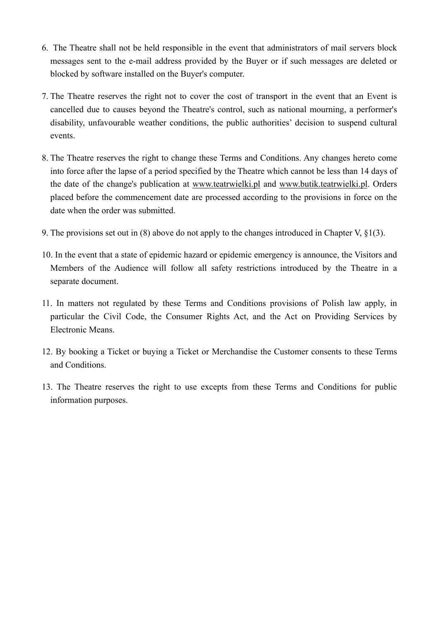- 6. The Theatre shall not be held responsible in the event that administrators of mail servers block messages sent to the e-mail address provided by the Buyer or if such messages are deleted or blocked by software installed on the Buyer's computer.
- 7. The Theatre reserves the right not to cover the cost of transport in the event that an Event is cancelled due to causes beyond the Theatre's control, such as national mourning, a performer's disability, unfavourable weather conditions, the public authorities' decision to suspend cultural events.
- 8. The Theatre reserves the right to change these Terms and Conditions. Any changes hereto come into force after the lapse of a period specified by the Theatre which cannot be less than 14 days of the date of the change's publication at [www.teatrwielki.pl](http://www.teatrwielki.pl) and [www.butik.teatrwielki.pl.](http://www.teatrwielki.pl) Orders placed before the commencement date are processed according to the provisions in force on the date when the order was submitted.
- 9. The provisions set out in (8) above do not apply to the changes introduced in Chapter V, §1(3).
- 10. In the event that a state of epidemic hazard or epidemic emergency is announce, the Visitors and Members of the Audience will follow all safety restrictions introduced by the Theatre in a separate document.
- 11. In matters not regulated by these Terms and Conditions provisions of Polish law apply, in particular the Civil Code, the Consumer Rights Act, and the Act on Providing Services by Electronic Means.
- 12. By booking a Ticket or buying a Ticket or Merchandise the Customer consents to these Terms and Conditions.
- 13. The Theatre reserves the right to use excepts from these Terms and Conditions for public information purposes.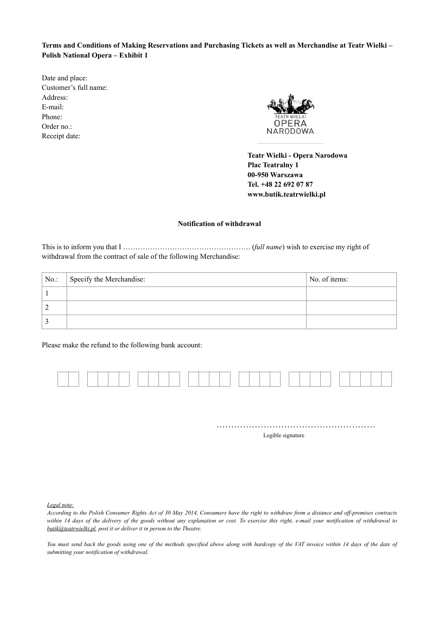**Terms and Conditions of Making Reservations and Purchasing Tickets as well as Merchandise at Teatr Wielki – Polish National Opera – Exhibit 1**

Date and place: Customer's full name: Address: E-mail: Phone: Order no.: Receipt date:



**Teatr Wielki - Opera Narodowa Plac Teatralny 1 00-950 Warszawa Tel. +48 22 692 07 87 www.butik.teatrwielki.pl** 

#### **Notification of withdrawal**

This is to inform you that I ……………………………………………. (*full name*) wish to exercise my right of withdrawal from the contract of sale of the following Merchandise:

| No. | Specify the Merchandise: | No. of items: |
|-----|--------------------------|---------------|
|     |                          |               |
|     |                          |               |
|     |                          |               |

Please make the refund to the following bank account:



……………………………………………… Legible signature

*Legal note:* 

*According to the Polish Consumer Rights Act of 30 May 2014, Consumers have the right to withdraw from a distance and off-premises contracts within 14 days of the delivery of the goods without any explanation or cost. To exercise this right, e-mail your notification of withdrawal to [butik@teatrwielki.pl,](mailto:butik@teatrwielki.pl) post it or deliver it in person to the Theatre.* 

You must send back the goods using one of the methods specified above along with hardcopy of the VAT invoice within 14 days of the date of *submitting your notification of withdrawal.*